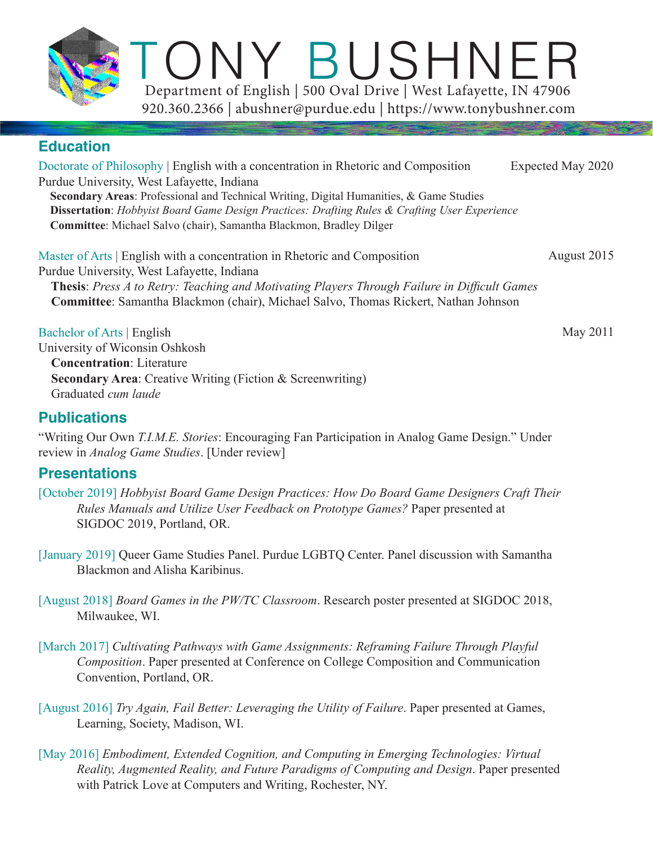ONY BUSHNER 920.360.2366 | abushner@purdue.edu | https://www.tonybushner.com Department of English | 500 Oval Drive | West Lafayette, IN 47906

# **Education**

Doctorate of Philosophy | English with a concentration in Rhetoric and Composition Purdue University, West Lafayette, Indiana  **Secondary Areas**: Professional and Technical Writing, Digital Humanities, & Game Studies  **Dissertation**: *Hobbyist Board Game Design Practices: Drafting Rules & Crafting User Experience*  **Committee**: Michael Salvo (chair), Samantha Blackmon, Bradley Dilger Expected May 2020

Master of Arts | English with a concentration in Rhetoric and Composition Purdue University, West Lafayette, Indiana  **Thesis**: *Press A to Retry: Teaching and Motivating Players Through Failure in Difficult Games*  **Committee**: Samantha Blackmon (chair), Michael Salvo, Thomas Rickert, Nathan Johnson August 2015

Bachelor of Arts | English

University of Wiconsin Oshkosh  **Concentration**: Literature **Secondary Area:** Creative Writing (Fiction & Screenwriting) Graduated *cum laude*

## **Publications**

"Writing Our Own *T.I.M.E. Stories*: Encouraging Fan Participation in Analog Game Design." Under review in *Analog Game Studies*. [Under review]

# **Presentations**

- [October 2019] *Hobbyist Board Game Design Practices: How Do Board Game Designers Craft Their Rules Manuals and Utilize User Feedback on Prototype Games?* Paper presented at SIGDOC 2019, Portland, OR.
- [January 2019] Queer Game Studies Panel. Purdue LGBTQ Center. Panel discussion with Samantha Blackmon and Alisha Karibinus.
- [August 2018] *Board Games in the PW/TC Classroom*. Research poster presented at SIGDOC 2018, Milwaukee, WI.
- [March 2017] *Cultivating Pathways with Game Assignments: Reframing Failure Through Playful Composition*. Paper presented at Conference on College Composition and Communication Convention, Portland, OR.
- [August 2016] *Try Again, Fail Better: Leveraging the Utility of Failure*. Paper presented at Games, Learning, Society, Madison, WI.
- [May 2016] *Embodiment, Extended Cognition, and Computing in Emerging Technologies: Virtual Reality, Augmented Reality, and Future Paradigms of Computing and Design*. Paper presented with Patrick Love at Computers and Writing, Rochester, NY.

May 2011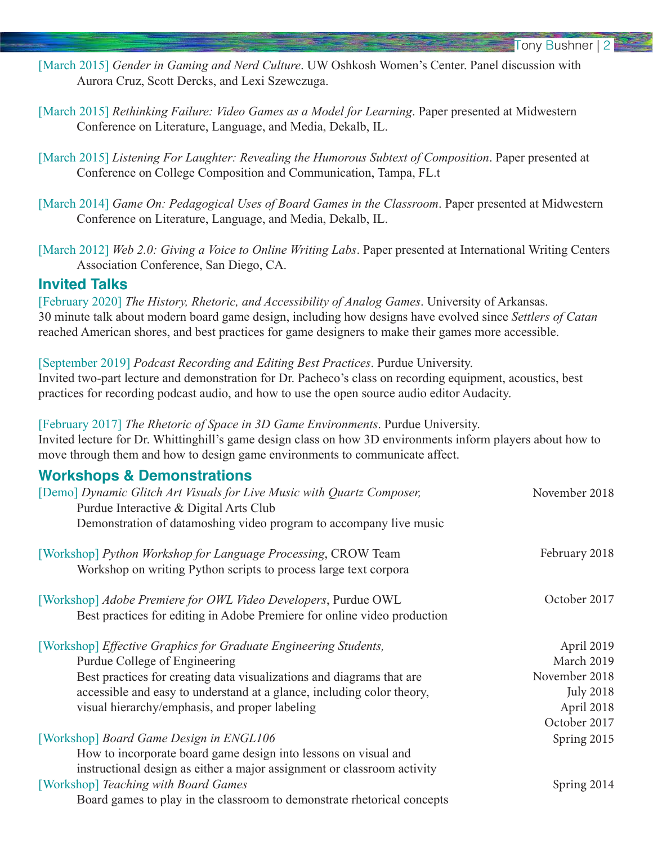- [March 2015] *Gender in Gaming and Nerd Culture*. UW Oshkosh Women's Center. Panel discussion with Aurora Cruz, Scott Dercks, and Lexi Szewczuga.
- [March 2015] *Rethinking Failure: Video Games as a Model for Learning*. Paper presented at Midwestern Conference on Literature, Language, and Media, Dekalb, IL.
- [March 2015] *Listening For Laughter: Revealing the Humorous Subtext of Composition*. Paper presented at Conference on College Composition and Communication, Tampa, FL.t
- [March 2014] *Game On: Pedagogical Uses of Board Games in the Classroom*. Paper presented at Midwestern Conference on Literature, Language, and Media, Dekalb, IL.
- [March 2012] *Web 2.0: Giving a Voice to Online Writing Labs*. Paper presented at International Writing Centers Association Conference, San Diego, CA.

## **Invited Talks**

[February 2020] *The History, Rhetoric, and Accessibility of Analog Games*. University of Arkansas. 30 minute talk about modern board game design, including how designs have evolved since *Settlers of Catan*  reached American shores, and best practices for game designers to make their games more accessible.

[September 2019] *Podcast Recording and Editing Best Practices*. Purdue University. Invited two-part lecture and demonstration for Dr. Pacheco's class on recording equipment, acoustics, best practices for recording podcast audio, and how to use the open source audio editor Audacity.

[February 2017] *The Rhetoric of Space in 3D Game Environments*. Purdue University. Invited lecture for Dr. Whittinghill's game design class on how 3D environments inform players about how to move through them and how to design game environments to communicate affect.

## **Workshops & Demonstrations**

| [Demo] Dynamic Glitch Art Visuals for Live Music with Quartz Composer,<br>Purdue Interactive & Digital Arts Club                           | November 2018    |
|--------------------------------------------------------------------------------------------------------------------------------------------|------------------|
| Demonstration of datamoshing video program to accompany live music                                                                         |                  |
| [Workshop] Python Workshop for Language Processing, CROW Team<br>Workshop on writing Python scripts to process large text corpora          | February 2018    |
| [Workshop] Adobe Premiere for OWL Video Developers, Purdue OWL<br>Best practices for editing in Adobe Premiere for online video production | October 2017     |
| [Workshop] Effective Graphics for Graduate Engineering Students,                                                                           | April 2019       |
| Purdue College of Engineering                                                                                                              | March 2019       |
| Best practices for creating data visualizations and diagrams that are                                                                      | November 2018    |
| accessible and easy to understand at a glance, including color theory,                                                                     | <b>July 2018</b> |
| visual hierarchy/emphasis, and proper labeling                                                                                             | April 2018       |
|                                                                                                                                            | October 2017     |
| [Workshop] Board Game Design in ENGL106                                                                                                    | Spring 2015      |
| How to incorporate board game design into lessons on visual and                                                                            |                  |
| instructional design as either a major assignment or classroom activity                                                                    |                  |
| [Workshop] Teaching with Board Games                                                                                                       | Spring 2014      |
| Board games to play in the classroom to demonstrate rhetorical concepts                                                                    |                  |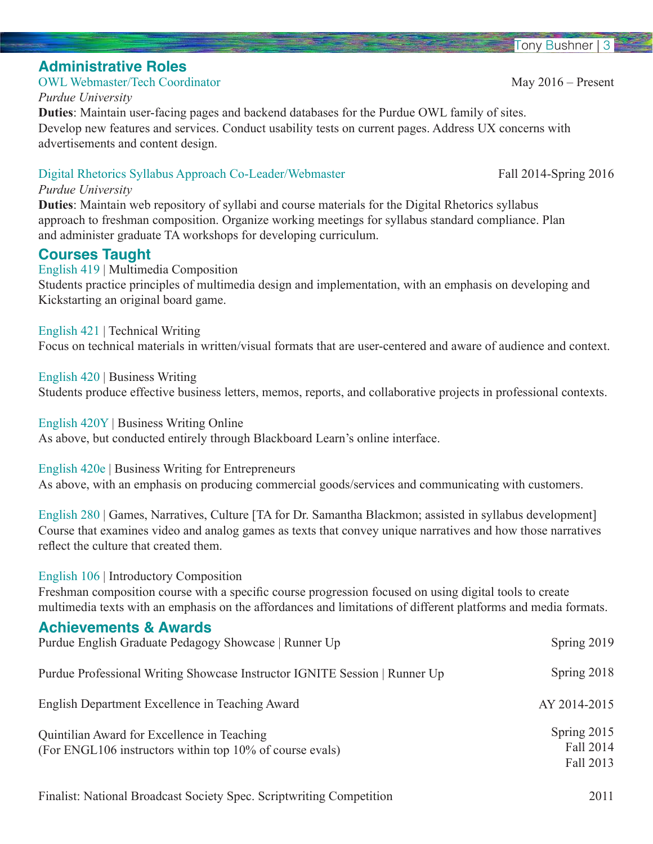May 2016 – Present

## **Administrative Roles**

OWL Webmaster/Tech Coordinator

#### *Purdue University*

**Duties**: Maintain user-facing pages and backend databases for the Purdue OWL family of sites. Develop new features and services. Conduct usability tests on current pages. Address UX concerns with advertisements and content design.

## Digital Rhetorics Syllabus Approach Co-Leader/Webmaster

#### *Purdue University*

**Duties**: Maintain web repository of syllabi and course materials for the Digital Rhetorics syllabus approach to freshman composition. Organize working meetings for syllabus standard compliance. Plan and administer graduate TA workshops for developing curriculum.

## **Courses Taught**

English 419 | Multimedia Composition Students practice principles of multimedia design and implementation, with an emphasis on developing and Kickstarting an original board game.

English 421 | Technical Writing

Focus on technical materials in written/visual formats that are user-centered and aware of audience and context.

English 420 | Business Writing Students produce effective business letters, memos, reports, and collaborative projects in professional contexts.

English 420Y | Business Writing Online As above, but conducted entirely through Blackboard Learn's online interface.

English 420e | Business Writing for Entrepreneurs As above, with an emphasis on producing commercial goods/services and communicating with customers.

English 280 | Games, Narratives, Culture [TA for Dr. Samantha Blackmon; assisted in syllabus development] Course that examines video and analog games as texts that convey unique narratives and how those narratives reflect the culture that created them.

## English 106 | Introductory Composition

Freshman composition course with a specific course progression focused on using digital tools to create multimedia texts with an emphasis on the affordances and limitations of different platforms and media formats.

## **Achievements & Awards**

| Purdue English Graduate Pedagogy Showcase   Runner Up                                                   | Spring $2019$                         |
|---------------------------------------------------------------------------------------------------------|---------------------------------------|
| Purdue Professional Writing Showcase Instructor IGNITE Session   Runner Up                              | Spring 2018                           |
| English Department Excellence in Teaching Award                                                         | AY 2014-2015                          |
| Quintilian Award for Excellence in Teaching<br>(For ENGL106 instructors within top 10% of course evals) | Spring 2015<br>Fall 2014<br>Fall 2013 |

#### Fall 2014-Spring 2016